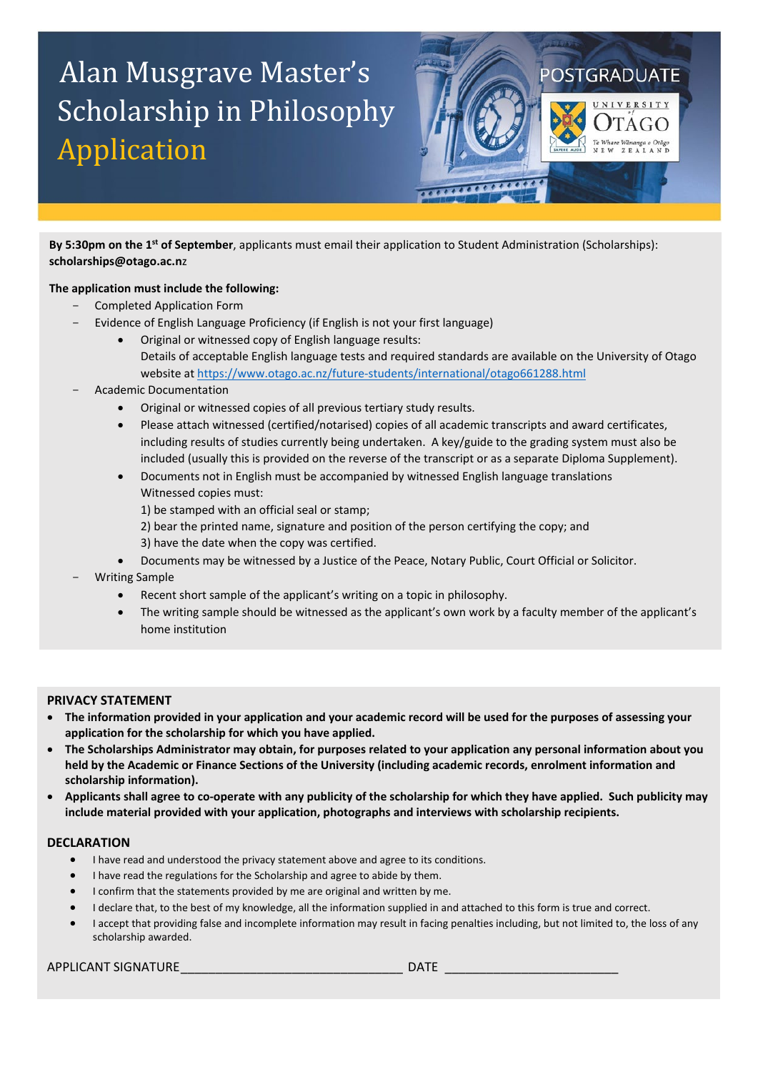# Alan Musgrave Master's Scholarship in Philosophy Application



By 5:30pm on the 1<sup>st</sup> of September, applicants must email their application to Student Administration (Scholarships): **[scholarships@otago.ac.n](mailto:scholarships@otago.ac.nz)**z

## **The application must include the following:**

- Completed Application Form
	- Evidence of English Language Proficiency (if English is not your first language)
		- Original or witnessed copy of English language results: Details of acceptable English language tests and required standards are available on the University of Otago website at<https://www.otago.ac.nz/future-students/international/otago661288.html>
- Academic Documentation
	- Original or witnessed copies of all previous tertiary study results.
	- Please attach witnessed (certified/notarised) copies of all academic transcripts and award certificates, including results of studies currently being undertaken. A key/guide to the grading system must also be included (usually this is provided on the reverse of the transcript or as a separate Diploma Supplement).
	- Documents not in English must be accompanied by witnessed English language translations Witnessed copies must:
		- 1) be stamped with an official seal or stamp;
		- 2) bear the printed name, signature and position of the person certifying the copy; and 3) have the date when the copy was certified.
		- Documents may be witnessed by a Justice of the Peace, Notary Public, Court Official or Solicitor.
- Writing Sample
	- Recent short sample of the applicant's writing on a topic in philosophy.
	- The writing sample should be witnessed as the applicant's own work by a faculty member of the applicant's home institution

### **PRIVACY STATEMENT**

- **The information provided in your application and your academic record will be used for the purposes of assessing your application for the scholarship for which you have applied.**
- **The Scholarships Administrator may obtain, for purposes related to your application any personal information about you held by the Academic or Finance Sections of the University (including academic records, enrolment information and scholarship information).**
- **Applicants shall agree to co-operate with any publicity of the scholarship for which they have applied. Such publicity may include material provided with your application, photographs and interviews with scholarship recipients.**

### **DECLARATION**

- I have read and understood the privacy statement above and agree to its conditions.
- I have read the regulations for the Scholarship and agree to abide by them.
- I confirm that the statements provided by me are original and written by me.
- I declare that, to the best of my knowledge, all the information supplied in and attached to this form is true and correct.
- I accept that providing false and incomplete information may result in facing penalties including, but not limited to, the loss of any scholarship awarded.

### APPLICANT SIGNATURE THE LIGHT CONSTRUCTION OF THE LIGHT CONSTRUCTION OF THE LIGHT CONSTRUCTION OF THE LIGHT CO